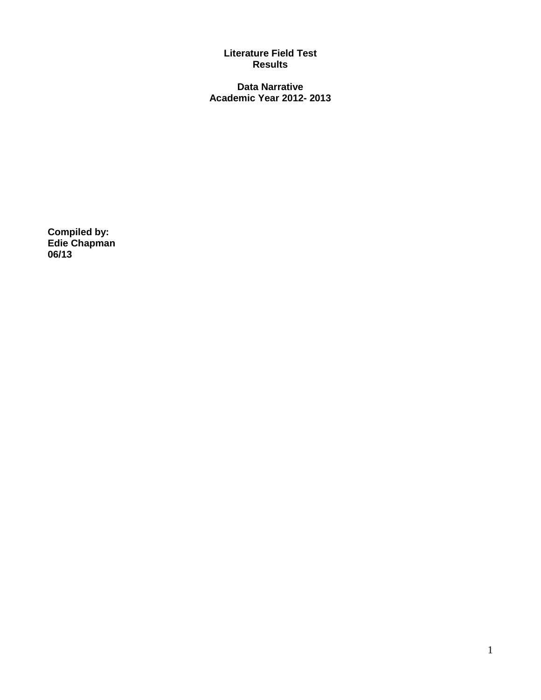## **Literature Field Test Results**

**Data Narrative Academic Year 2012- 2013**

**Compiled by: Edie Chapman 06/13**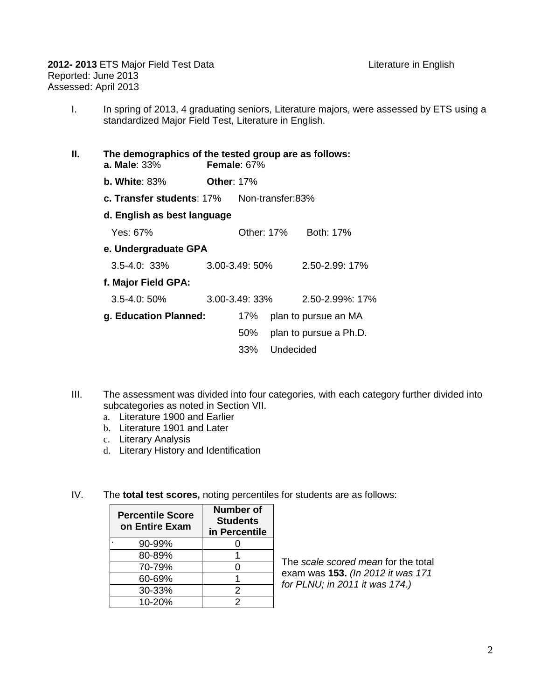I. In spring of 2013, 4 graduating seniors, Literature majors, were assessed by ETS using a standardized Major Field Test, Literature in English.

| Н. | a. Male: $33\%$           |                             | The demographics of the tested group are as follows:<br>Female: $67%$ |            |                        |  |  |  |  |
|----|---------------------------|-----------------------------|-----------------------------------------------------------------------|------------|------------------------|--|--|--|--|
|    | b. White: $83\%$          |                             | <b>Other: 17%</b>                                                     |            |                        |  |  |  |  |
|    | c. Transfer students: 17% |                             | Non-transfer:83%                                                      |            |                        |  |  |  |  |
|    |                           | d. English as best language |                                                                       |            |                        |  |  |  |  |
|    | Yes: 67%                  |                             |                                                                       | Other: 17% | Both: 17%              |  |  |  |  |
|    |                           | e. Undergraduate GPA        |                                                                       |            |                        |  |  |  |  |
|    | $3.5 - 4.0$ : $33\%$      |                             | $3.00 - 3.49:50\%$                                                    |            | $2.50 - 2.99$ : 17%    |  |  |  |  |
|    |                           | f. Major Field GPA:         |                                                                       |            |                        |  |  |  |  |
|    | $3.5 - 4.0:50\%$          |                             | $3.00 - 3.49:33\%$                                                    |            | 2.50-2.99%: 17%        |  |  |  |  |
|    | g. Education Planned:     |                             | 17%                                                                   |            | plan to pursue an MA   |  |  |  |  |
|    |                           |                             | 50%                                                                   |            | plan to pursue a Ph.D. |  |  |  |  |
|    |                           |                             | 33%                                                                   | Undecided  |                        |  |  |  |  |
|    |                           |                             |                                                                       |            |                        |  |  |  |  |

- III. The assessment was divided into four categories, with each category further divided into subcategories as noted in Section VII.
	- a. Literature 1900 and Earlier
	- b. Literature 1901 and Later
	- c. Literary Analysis
	- d. Literary History and Identification
- IV. The **total test scores,** noting percentiles for students are as follows:

| <b>Percentile Score</b><br>on Entire Exam | Number of<br><b>Students</b><br>in Percentile |  |  |
|-------------------------------------------|-----------------------------------------------|--|--|
| 90-99%                                    |                                               |  |  |
| 80-89%                                    |                                               |  |  |
| 70-79%                                    | $\Omega$                                      |  |  |
| 60-69%                                    |                                               |  |  |
| 30-33%                                    | 2                                             |  |  |
| 10-20%                                    | 2                                             |  |  |

The *scale scored mean* for the total exam was **153.** *(In 2012 it was 171 for PLNU; in 2011 it was 174.)*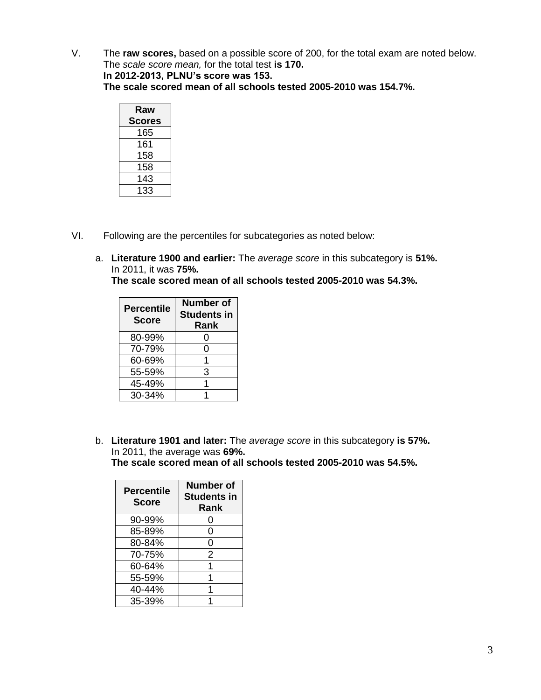V. The **raw scores,** based on a possible score of 200, for the total exam are noted below. The *scale score mean,* for the total test **is 170.**

**In 2012-2013, PLNU's score was 153.**

**The scale scored mean of all schools tested 2005-2010 was 154.7%.**

| Raw           |
|---------------|
| <b>Scores</b> |
| 165           |
| 161           |
| 158           |
| 158           |
| 143           |
| 133           |

- VI. Following are the percentiles for subcategories as noted below:
	- a. **Literature 1900 and earlier:** The *average score* in this subcategory is **51%.** In 2011, it was **75%.**

**The scale scored mean of all schools tested 2005-2010 was 54.3%.**

| <b>Percentile</b><br><b>Score</b> | Number of<br><b>Students in</b><br>Rank |
|-----------------------------------|-----------------------------------------|
| 80-99%                            | 0                                       |
| 70-79%                            | 0                                       |
| 60-69%                            |                                         |
| 55-59%                            | 3                                       |
| 45-49%                            |                                         |
| $30 - 34%$                        |                                         |

b. **Literature 1901 and later:** The *average score* in this subcategory **is 57%.** In 2011, the average was **69%.**

**The scale scored mean of all schools tested 2005-2010 was 54.5%.**

| <b>Percentile</b><br><b>Score</b> | <b>Number of</b><br><b>Students in</b><br>Rank |  |  |  |
|-----------------------------------|------------------------------------------------|--|--|--|
| 90-99%                            | O                                              |  |  |  |
| 85-89%                            | ი                                              |  |  |  |
| 80-84%                            | 0                                              |  |  |  |
| 70-75%                            | 2                                              |  |  |  |
| 60-64%                            |                                                |  |  |  |
| 55-59%                            |                                                |  |  |  |
| 40-44%                            |                                                |  |  |  |
| 35-39%                            |                                                |  |  |  |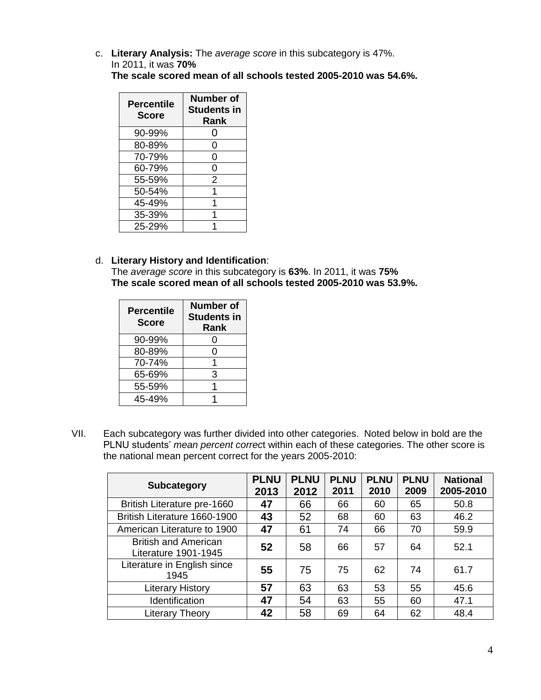c. **Literary Analysis:** The *average score* in this subcategory is 47%. In 2011, it was **70% The scale scored mean of all schools tested 2005-2010 was 54.6%.**

| <b>Percentile</b><br><b>Score</b> | <b>Number of</b><br><b>Students in</b><br>Rank |  |  |  |
|-----------------------------------|------------------------------------------------|--|--|--|
| 90-99%                            | ( )                                            |  |  |  |
| 80-89%                            | 0                                              |  |  |  |
| 70-79%                            | 0                                              |  |  |  |
| 60-79%                            | 0                                              |  |  |  |
| 55-59%                            | 2                                              |  |  |  |
| 50-54%                            |                                                |  |  |  |
| 45-49%                            |                                                |  |  |  |
| 35-39%                            |                                                |  |  |  |
| 25-29%                            |                                                |  |  |  |

d. **Literary History and Identification**: The *average score* in this subcategory is **63%**. In 2011, it was **75% The scale scored mean of all schools tested 2005-2010 was 53.9%.**

| <b>Percentile</b><br><b>Score</b> | Number of<br><b>Students in</b><br>Rank |  |  |
|-----------------------------------|-----------------------------------------|--|--|
| 90-99%                            | 0                                       |  |  |
| 80-89%                            | 0                                       |  |  |
| 70-74%                            |                                         |  |  |
| 65-69%                            | 3                                       |  |  |
| 55-59%                            |                                         |  |  |
| 45-49%                            |                                         |  |  |

VII. Each subcategory was further divided into other categories. Noted below in bold are the PLNU students' *mean percent correc*t within each of these categories. The other score is the national mean percent correct for the years 2005-2010:

| <b>Subcategory</b>                                  | <b>PLNU</b><br>2013 | <b>PLNU</b><br>2012 | <b>PLNU</b><br>2011 | <b>PLNU</b><br>2010 | <b>PLNU</b><br>2009 | <b>National</b><br>2005-2010 |
|-----------------------------------------------------|---------------------|---------------------|---------------------|---------------------|---------------------|------------------------------|
| British Literature pre-1660                         | 47                  | 66                  | 66                  | 60                  | 65                  | 50.8                         |
| British Literature 1660-1900                        | 43                  | 52                  | 68                  | 60                  | 63                  | 46.2                         |
| American Literature to 1900                         | 47                  | 61                  | 74                  | 66                  | 70                  | 59.9                         |
| <b>British and American</b><br>Literature 1901-1945 | 52                  | 58                  | 66                  | 57                  | 64                  | 52.1                         |
| Literature in English since<br>1945                 | 55                  | 75                  | 75                  | 62                  | 74                  | 61.7                         |
| <b>Literary History</b>                             | 57                  | 63                  | 63                  | 53                  | 55                  | 45.6                         |
| Identification                                      | 47                  | 54                  | 63                  | 55                  | 60                  | 47.1                         |
| <b>Literary Theory</b>                              | 42                  | 58                  | 69                  | 64                  | 62                  | 48.4                         |